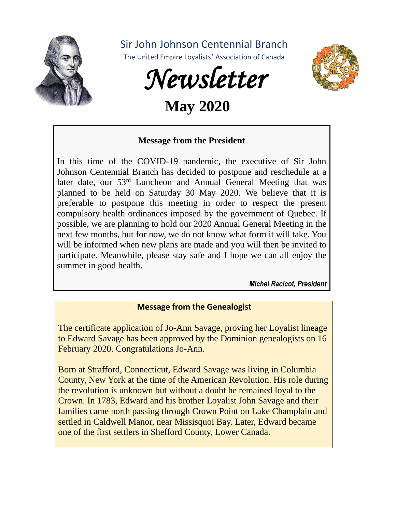

Sir John Johnson Centennial Branch

The United Empire Loyalists' Association of Canada



 **May 2020**

### **Message from the President**

In this time of the COVID-19 pandemic, the executive of Sir John Johnson Centennial Branch has decided to postpone and reschedule at a later date, our 53<sup>rd</sup> Luncheon and Annual General Meeting that was planned to be held on Saturday 30 May 2020. We believe that it is preferable to postpone this meeting in order to respect the present compulsory health ordinances imposed by the government of Quebec. If possible, we are planning to hold our 2020 Annual General Meeting in the next few months, but for now, we do not know what form it will take. You will be informed when new plans are made and you will then be invited to participate. Meanwhile, please stay safe and I hope we can all enjoy the summer in good health.

*Michel Racicot, President*

### **Message from the Genealogist**

The certificate application of Jo-Ann Savage, proving her Loyalist lineage to Edward Savage has been approved by the Dominion genealogists on 16 February 2020. Congratulations Jo-Ann.

Born at Strafford, Connecticut, Edward Savage was living in Columbia County, New York at the time of the American Revolution. His role during the revolution is unknown but without a doubt he remained loyal to the Crown. In 1783, Edward and his brother Loyalist John Savage and their families came north passing through Crown Point on Lake Champlain and settled in Caldwell Manor, near Missisquoi Bay. Later, Edward became one of the first settlers in Shefford County, Lower Canada.

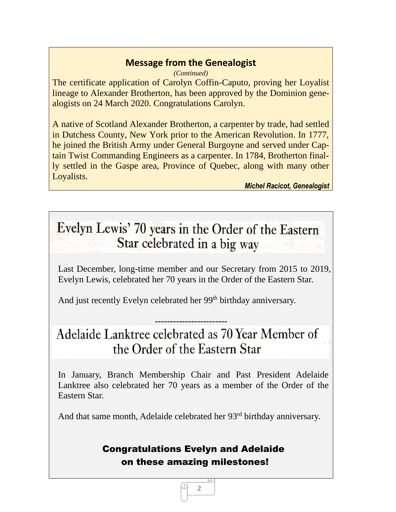## **Message from the Genealogist**

*(Continued)* The certificate application of Carolyn Coffin-Caputo, proving her Loyalist lineage to Alexander Brotherton, has been approved by the Dominion genealogists on 24 March 2020. Congratulations Carolyn.

A native of Scotland Alexander Brotherton, a carpenter by trade, had settled in Dutchess County, New York prior to the American Revolution. In 1777, he joined the British Army under General Burgoyne and served under Captain Twist Commanding Engineers as a carpenter. In 1784, Brotherton finally settled in the Gaspe area, Province of Quebec, along with many other Loyalists.

*Michel Racicot, Genealogist*

# Evelyn Lewis' 70 years in the Order of the Eastern Star celebrated in a big way

Last December, long-time member and our Secretary from 2015 to 2019, Evelyn Lewis, celebrated her 70 years in the Order of the Eastern Star.

And just recently Evelyn celebrated her 99<sup>th</sup> birthday anniversary.

# **------------------------** Adelaide Lanktree celebrated as 70 Year Member of the Order of the Eastern Star

In January, Branch Membership Chair and Past President Adelaide Lanktree also celebrated her 70 years as a member of the Order of the Eastern Star.

And that same month, Adelaide celebrated her 93<sup>rd</sup> birthday anniversary.

# Congratulations Evelyn and Adelaide on these amazing milestones!

**2**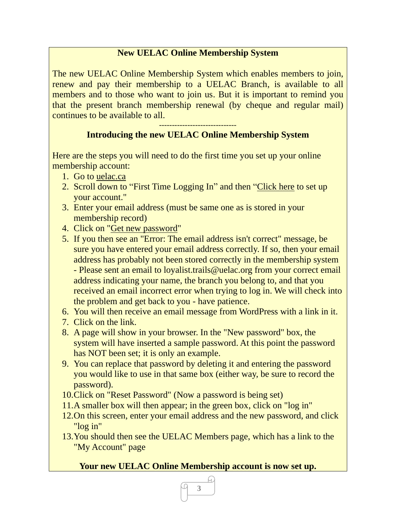### **New UELAC Online Membership System**

The new UELAC Online Membership System which enables members to join, renew and pay their membership to a UELAC Branch, is available to all members and to those who want to join us. But it is important to remind you that the present branch membership renewal (by cheque and regular mail) continues to be available to all.

#### ------------------------------ **Introducing the new UELAC Online Membership System**

Here are the steps you will need to do the first time you set up your online membership account:

- 1. Go to uelac.ca
- 2. Scroll down to "First Time Logging In" and then "Click here to set up your account."
- 3. Enter your email address (must be same one as is stored in your membership record)
- 4. Click on "Get new password"
- 5. If you then see an "Error: The email address isn't correct" message, be sure you have entered your email address correctly. If so, then your email address has probably not been stored correctly in the membership system - Please sent an email to loyalist.trails@uelac.org from your correct email address indicating your name, the branch you belong to, and that you received an email incorrect error when trying to log in. We will check into the problem and get back to you - have patience.
- 6. You will then receive an email message from WordPress with a link in it.
- 7. Click on the link.
- 8. A page will show in your browser. In the "New password" box, the system will have inserted a sample password. At this point the password has NOT been set; it is only an example.
- 9. You can replace that password by deleting it and entering the password you would like to use in that same box (either way, be sure to record the password).
- 10.Click on "Reset Password" (Now a password is being set)
- 11.A smaller box will then appear; in the green box, click on "log in"
- 12.On this screen, enter your email address and the new password, and click "log in"
- 13.You should then see the UELAC Members page, which has a link to the "My Account" page

#### **Your new UELAC Online Membership account is now set up.**